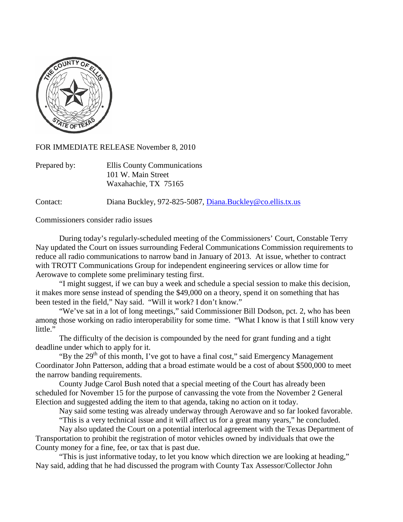

FOR IMMEDIATE RELEASE November 8, 2010

| Prepared by: | Ellis County Communications |
|--------------|-----------------------------|
|              | 101 W. Main Street          |
|              | Waxahachie, TX 75165        |

Contact: Diana Buckley, 972-825-5087, [Diana.Buckley@co.ellis.tx.us](mailto:Diana.Buckley@co.ellis.tx.us)

Commissioners consider radio issues

During today's regularly-scheduled meeting of the Commissioners' Court, Constable Terry Nay updated the Court on issues surrounding Federal Communications Commission requirements to reduce all radio communications to narrow band in January of 2013. At issue, whether to contract with TROTT Communications Group for independent engineering services or allow time for Aerowave to complete some preliminary testing first.

"I might suggest, if we can buy a week and schedule a special session to make this decision, it makes more sense instead of spending the \$49,000 on a theory, spend it on something that has been tested in the field," Nay said. "Will it work? I don't know."

"We've sat in a lot of long meetings," said Commissioner Bill Dodson, pct. 2, who has been among those working on radio interoperability for some time. "What I know is that I still know very little."

The difficulty of the decision is compounded by the need for grant funding and a tight deadline under which to apply for it.

"By the  $29<sup>th</sup>$  of this month, I've got to have a final cost," said Emergency Management Coordinator John Patterson, adding that a broad estimate would be a cost of about \$500,000 to meet the narrow banding requirements.

County Judge Carol Bush noted that a special meeting of the Court has already been scheduled for November 15 for the purpose of canvassing the vote from the November 2 General Election and suggested adding the item to that agenda, taking no action on it today.

Nay said some testing was already underway through Aerowave and so far looked favorable.

"This is a very technical issue and it will affect us for a great many years," he concluded. Nay also updated the Court on a potential interlocal agreement with the Texas Department of

Transportation to prohibit the registration of motor vehicles owned by individuals that owe the County money for a fine, fee, or tax that is past due.

"This is just informative today, to let you know which direction we are looking at heading," Nay said, adding that he had discussed the program with County Tax Assessor/Collector John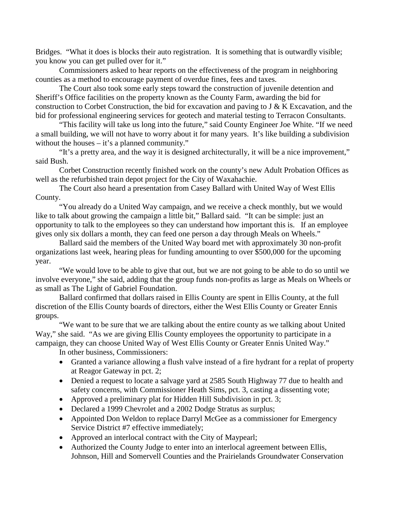Bridges. "What it does is blocks their auto registration. It is something that is outwardly visible; you know you can get pulled over for it."

Commissioners asked to hear reports on the effectiveness of the program in neighboring counties as a method to encourage payment of overdue fines, fees and taxes.

The Court also took some early steps toward the construction of juvenile detention and Sheriff's Office facilities on the property known as the County Farm, awarding the bid for construction to Corbet Construction, the bid for excavation and paving to J & K Excavation, and the bid for professional engineering services for geotech and material testing to Terracon Consultants.

"This facility will take us long into the future," said County Engineer Joe White. "If we need a small building, we will not have to worry about it for many years. It's like building a subdivision without the houses – it's a planned community."

"It's a pretty area, and the way it is designed architecturally, it will be a nice improvement," said Bush.

Corbet Construction recently finished work on the county's new Adult Probation Offices as well as the refurbished train depot project for the City of Waxahachie.

The Court also heard a presentation from Casey Ballard with United Way of West Ellis County.

"You already do a United Way campaign, and we receive a check monthly, but we would like to talk about growing the campaign a little bit," Ballard said. "It can be simple: just an opportunity to talk to the employees so they can understand how important this is. If an employee gives only six dollars a month, they can feed one person a day through Meals on Wheels."

Ballard said the members of the United Way board met with approximately 30 non-profit organizations last week, hearing pleas for funding amounting to over \$500,000 for the upcoming year.

"We would love to be able to give that out, but we are not going to be able to do so until we involve everyone," she said, adding that the group funds non-profits as large as Meals on Wheels or as small as The Light of Gabriel Foundation.

Ballard confirmed that dollars raised in Ellis County are spent in Ellis County, at the full discretion of the Ellis County boards of directors, either the West Ellis County or Greater Ennis groups.

"We want to be sure that we are talking about the entire county as we talking about United Way," she said. "As we are giving Ellis County employees the opportunity to participate in a campaign, they can choose United Way of West Ellis County or Greater Ennis United Way."

In other business, Commissioners:

- Granted a variance allowing a flush valve instead of a fire hydrant for a replat of property at Reagor Gateway in pct. 2;
- Denied a request to locate a salvage yard at 2585 South Highway 77 due to health and safety concerns, with Commissioner Heath Sims, pct. 3, casting a dissenting vote;
- Approved a preliminary plat for Hidden Hill Subdivision in pct. 3;
- Declared a 1999 Chevrolet and a 2002 Dodge Stratus as surplus;
- Appointed Don Weldon to replace Darryl McGee as a commissioner for Emergency Service District #7 effective immediately;
- Approved an interlocal contract with the City of Maypearl;
- Authorized the County Judge to enter into an interlocal agreement between Ellis, Johnson, Hill and Somervell Counties and the Prairielands Groundwater Conservation